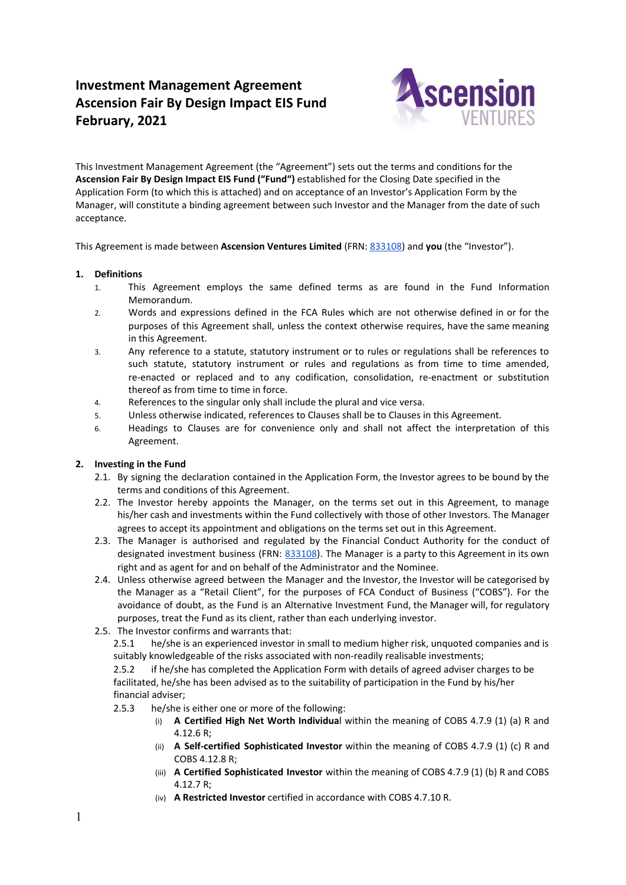# **Investment Management Agreement Ascension Fair By Design Impact EIS Fund February, 2021**



This Investment Management Agreement (the "Agreement") sets out the terms and conditions for the **Ascension Fair By Design Impact EIS Fund ("Fund")** established for the Closing Date specified in the Application Form (to which this is attached) and on acceptance of an Investor's Application Form by the Manager, will constitute a binding agreement between such Investor and the Manager from the date of such acceptance.

This Agreement is made between **Ascension Ventures Limited** (FRN: [833108\)](https://register.fca.org.uk/ShPo_FirmDetailsPage?id=0010X00004MkTGwQAN) and **you** (the "Investor").

# **1. Definitions**

- 1. This Agreement employs the same defined terms as are found in the Fund Information Memorandum.
- 2. Words and expressions defined in the FCA Rules which are not otherwise defined in or for the purposes of this Agreement shall, unless the context otherwise requires, have the same meaning in this Agreement.
- 3. Any reference to a statute, statutory instrument or to rules or regulations shall be references to such statute, statutory instrument or rules and regulations as from time to time amended, re-enacted or replaced and to any codification, consolidation, re-enactment or substitution thereof as from time to time in force.
- 4. References to the singular only shall include the plural and vice versa.
- 5. Unless otherwise indicated, references to Clauses shall be to Clauses in this Agreement.
- 6. Headings to Clauses are for convenience only and shall not affect the interpretation of this Agreement.

# **2. Investing in the Fund**

- 2.1. By signing the declaration contained in the Application Form, the Investor agrees to be bound by the terms and conditions of this Agreement.
- 2.2. The Investor hereby appoints the Manager, on the terms set out in this Agreement, to manage his/her cash and investments within the Fund collectively with those of other Investors. The Manager agrees to accept its appointment and obligations on the terms set out in this Agreement.
- 2.3. The Manager is authorised and regulated by the Financial Conduct Authority for the conduct of designated investment business (FRN: [833108\)](https://register.fca.org.uk/ShPo_FirmDetailsPage?id=0010X00004MkTGwQAN). The Manager is a party to this Agreement in its own right and as agent for and on behalf of the Administrator and the Nominee.
- 2.4. Unless otherwise agreed between the Manager and the Investor, the Investor will be categorised by the Manager as a "Retail Client", for the purposes of FCA Conduct of Business ("COBS"). For the avoidance of doubt, as the Fund is an Alternative Investment Fund, the Manager will, for regulatory purposes, treat the Fund as its client, rather than each underlying investor.
- 2.5. The Investor confirms and warrants that:

2.5.1 he/she is an experienced investor in small to medium higher risk, unquoted companies and is suitably knowledgeable of the risks associated with non-readily realisable investments;

2.5.2 if he/she has completed the Application Form with details of agreed adviser charges to be facilitated, he/she has been advised as to the suitability of participation in the Fund by his/her financial adviser;

- 2.5.3 he/she is either one or more of the following:
	- (i) **A Certified High Net Worth Individua**l within the meaning of COBS 4.7.9 (1) (a) R and 4.12.6 R;
	- (ii) **A Self-certified Sophisticated Investor** within the meaning of COBS 4.7.9 (1) (c) R and COBS 4.12.8 R;
	- (iii) **A Certified Sophisticated Investor** within the meaning of COBS 4.7.9 (1) (b) R and COBS 4.12.7 R;
	- (iv) **A Restricted Investor** certified in accordance with COBS 4.7.10 R.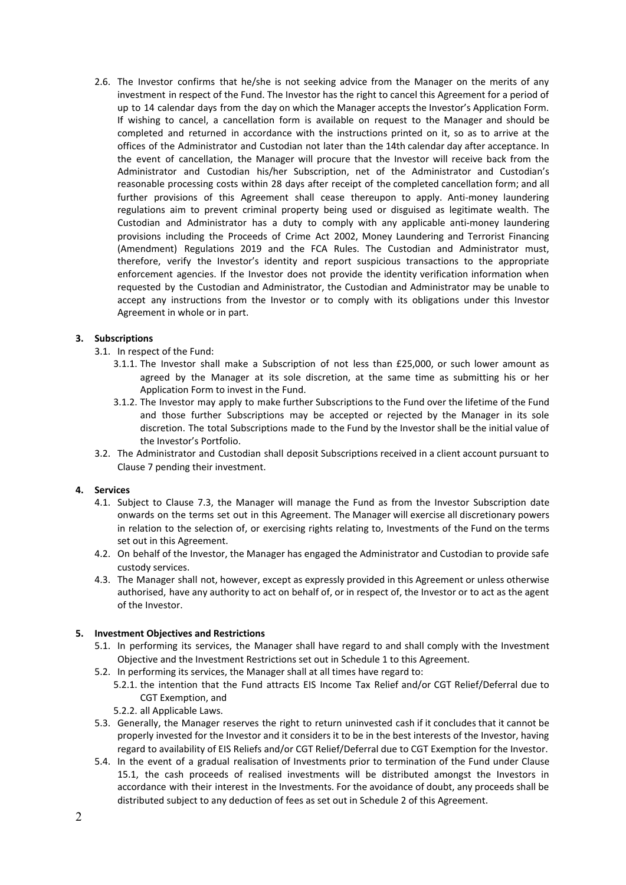2.6. The Investor confirms that he/she is not seeking advice from the Manager on the merits of any investment in respect of the Fund. The Investor has the right to cancel this Agreement for a period of up to 14 calendar days from the day on which the Manager accepts the Investor's Application Form. If wishing to cancel, a cancellation form is available on request to the Manager and should be completed and returned in accordance with the instructions printed on it, so as to arrive at the offices of the Administrator and Custodian not later than the 14th calendar day after acceptance. In the event of cancellation, the Manager will procure that the Investor will receive back from the Administrator and Custodian his/her Subscription, net of the Administrator and Custodian's reasonable processing costs within 28 days after receipt of the completed cancellation form; and all further provisions of this Agreement shall cease thereupon to apply. Anti-money laundering regulations aim to prevent criminal property being used or disguised as legitimate wealth. The Custodian and Administrator has a duty to comply with any applicable anti-money laundering provisions including the Proceeds of Crime Act 2002, Money Laundering and Terrorist Financing (Amendment) Regulations 2019 and the FCA Rules. The Custodian and Administrator must, therefore, verify the Investor's identity and report suspicious transactions to the appropriate enforcement agencies. If the Investor does not provide the identity verification information when requested by the Custodian and Administrator, the Custodian and Administrator may be unable to accept any instructions from the Investor or to comply with its obligations under this Investor Agreement in whole or in part.

# **3. Subscriptions**

- 3.1. In respect of the Fund:
	- 3.1.1. The Investor shall make a Subscription of not less than £25,000, or such lower amount as agreed by the Manager at its sole discretion, at the same time as submitting his or her Application Form to invest in the Fund.
	- 3.1.2. The Investor may apply to make further Subscriptions to the Fund over the lifetime of the Fund and those further Subscriptions may be accepted or rejected by the Manager in its sole discretion. The total Subscriptions made to the Fund by the Investor shall be the initial value of the Investor's Portfolio.
- 3.2. The Administrator and Custodian shall deposit Subscriptions received in a client account pursuant to Clause 7 pending their investment.

# **4. Services**

- 4.1. Subject to Clause 7.3, the Manager will manage the Fund as from the Investor Subscription date onwards on the terms set out in this Agreement. The Manager will exercise all discretionary powers in relation to the selection of, or exercising rights relating to, Investments of the Fund on the terms set out in this Agreement.
- 4.2. On behalf of the Investor, the Manager has engaged the Administrator and Custodian to provide safe custody services.
- 4.3. The Manager shall not, however, except as expressly provided in this Agreement or unless otherwise authorised, have any authority to act on behalf of, or in respect of, the Investor or to act as the agent of the Investor.

# **5. Investment Objectives and Restrictions**

- 5.1. In performing its services, the Manager shall have regard to and shall comply with the Investment Objective and the Investment Restrictions set out in Schedule 1 to this Agreement.
- 5.2. In performing its services, the Manager shall at all times have regard to:
	- 5.2.1. the intention that the Fund attracts EIS Income Tax Relief and/or CGT Relief/Deferral due to CGT Exemption, and
	- 5.2.2. all Applicable Laws.
- 5.3. Generally, the Manager reserves the right to return uninvested cash if it concludes that it cannot be properly invested for the Investor and it considers it to be in the best interests of the Investor, having regard to availability of EIS Reliefs and/or CGT Relief/Deferral due to CGT Exemption for the Investor.
- 5.4. In the event of a gradual realisation of Investments prior to termination of the Fund under Clause 15.1, the cash proceeds of realised investments will be distributed amongst the Investors in accordance with their interest in the Investments. For the avoidance of doubt, any proceeds shall be distributed subject to any deduction of fees as set out in Schedule 2 of this Agreement.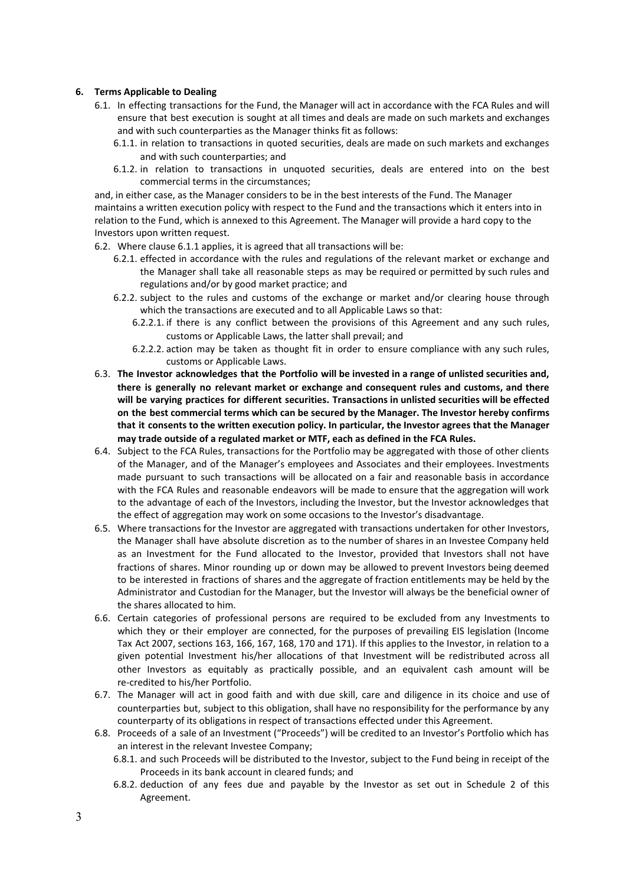# **6. Terms Applicable to Dealing**

- 6.1. In effecting transactions for the Fund, the Manager will act in accordance with the FCA Rules and will ensure that best execution is sought at all times and deals are made on such markets and exchanges and with such counterparties as the Manager thinks fit as follows:
	- 6.1.1. in relation to transactions in quoted securities, deals are made on such markets and exchanges and with such counterparties; and
	- 6.1.2. in relation to transactions in unquoted securities, deals are entered into on the best commercial terms in the circumstances;

and, in either case, as the Manager considers to be in the best interests of the Fund. The Manager maintains a written execution policy with respect to the Fund and the transactions which it enters into in relation to the Fund, which is annexed to this Agreement. The Manager will provide a hard copy to the Investors upon written request.

- 6.2. Where clause 6.1.1 applies, it is agreed that all transactions will be:
	- 6.2.1. effected in accordance with the rules and regulations of the relevant market or exchange and the Manager shall take all reasonable steps as may be required or permitted by such rules and regulations and/or by good market practice; and
	- 6.2.2. subject to the rules and customs of the exchange or market and/or clearing house through which the transactions are executed and to all Applicable Laws so that:
		- 6.2.2.1. if there is any conflict between the provisions of this Agreement and any such rules, customs or Applicable Laws, the latter shall prevail; and
		- 6.2.2.2. action may be taken as thought fit in order to ensure compliance with any such rules, customs or Applicable Laws.
- 6.3. **The Investor acknowledges that the Portfolio will be invested in a range of unlisted securities and, there is generally no relevant market or exchange and consequent rules and customs, and there will be varying practices for different securities. Transactions in unlisted securities will be effected on the best commercial terms which can be secured by the Manager. The Investor hereby confirms that it consents to the written execution policy. In particular, the Investor agrees that the Manager may trade outside of a regulated market or MTF, each as defined in the FCA Rules.**
- 6.4. Subject to the FCA Rules, transactions for the Portfolio may be aggregated with those of other clients of the Manager, and of the Manager's employees and Associates and their employees. Investments made pursuant to such transactions will be allocated on a fair and reasonable basis in accordance with the FCA Rules and reasonable endeavors will be made to ensure that the aggregation will work to the advantage of each of the Investors, including the Investor, but the Investor acknowledges that the effect of aggregation may work on some occasions to the Investor's disadvantage.
- 6.5. Where transactions for the Investor are aggregated with transactions undertaken for other Investors, the Manager shall have absolute discretion as to the number of shares in an Investee Company held as an Investment for the Fund allocated to the Investor, provided that Investors shall not have fractions of shares. Minor rounding up or down may be allowed to prevent Investors being deemed to be interested in fractions of shares and the aggregate of fraction entitlements may be held by the Administrator and Custodian for the Manager, but the Investor will always be the beneficial owner of the shares allocated to him.
- 6.6. Certain categories of professional persons are required to be excluded from any Investments to which they or their employer are connected, for the purposes of prevailing EIS legislation (Income Tax Act 2007, sections 163, 166, 167, 168, 170 and 171). If this applies to the Investor, in relation to a given potential Investment his/her allocations of that Investment will be redistributed across all other Investors as equitably as practically possible, and an equivalent cash amount will be re-credited to his/her Portfolio.
- 6.7. The Manager will act in good faith and with due skill, care and diligence in its choice and use of counterparties but, subject to this obligation, shall have no responsibility for the performance by any counterparty of its obligations in respect of transactions effected under this Agreement.
- 6.8. Proceeds of a sale of an Investment ("Proceeds") will be credited to an Investor's Portfolio which has an interest in the relevant Investee Company;
	- 6.8.1. and such Proceeds will be distributed to the Investor, subject to the Fund being in receipt of the Proceeds in its bank account in cleared funds; and
	- 6.8.2. deduction of any fees due and payable by the Investor as set out in Schedule 2 of this Agreement.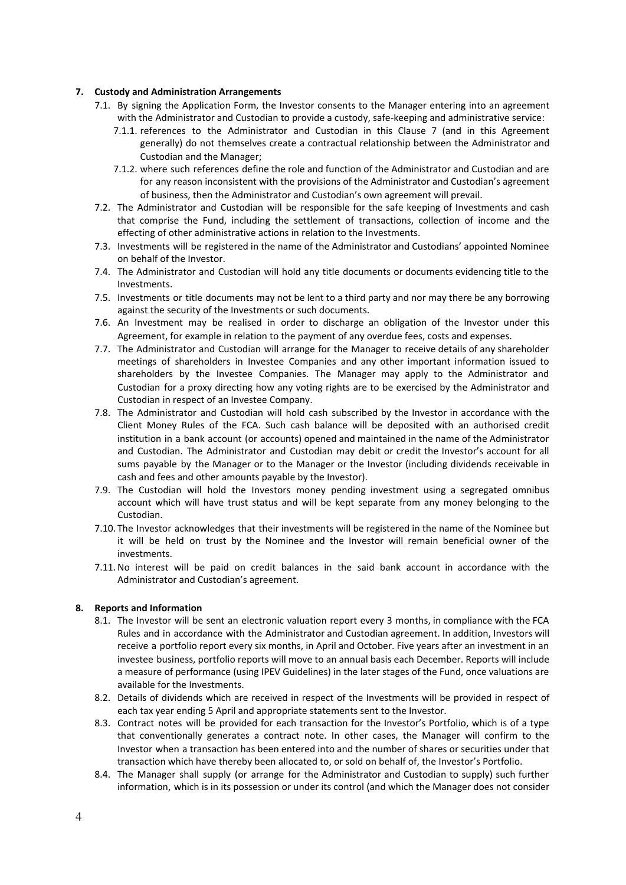#### **7. Custody and Administration Arrangements**

- <span id="page-3-0"></span>7.1. By signing the Application Form, the Investor consents to the Manager entering into an agreement with the Administrator and Custodian to provide a custody, safe-keeping and administrative service:
	- 7.1.1. references to the Administrator and Custodian in this Clause [7](#page-3-0) (and in this Agreement generally) do not themselves create a contractual relationship between the Administrator and Custodian and the Manager;
	- 7.1.2. where such references define the role and function of the Administrator and Custodian and are for any reason inconsistent with the provisions of the Administrator and Custodian's agreement of business, then the Administrator and Custodian's own agreement will prevail.
- 7.2. The Administrator and Custodian will be responsible for the safe keeping of Investments and cash that comprise the Fund, including the settlement of transactions, collection of income and the effecting of other administrative actions in relation to the Investments.
- 7.3. Investments will be registered in the name of the Administrator and Custodians' appointed Nominee on behalf of the Investor.
- 7.4. The Administrator and Custodian will hold any title documents or documents evidencing title to the Investments.
- 7.5. Investments or title documents may not be lent to a third party and nor may there be any borrowing against the security of the Investments or such documents.
- 7.6. An Investment may be realised in order to discharge an obligation of the Investor under this Agreement, for example in relation to the payment of any overdue fees, costs and expenses.
- 7.7. The Administrator and Custodian will arrange for the Manager to receive details of any shareholder meetings of shareholders in Investee Companies and any other important information issued to shareholders by the Investee Companies. The Manager may apply to the Administrator and Custodian for a proxy directing how any voting rights are to be exercised by the Administrator and Custodian in respect of an Investee Company.
- 7.8. The Administrator and Custodian will hold cash subscribed by the Investor in accordance with the Client Money Rules of the FCA. Such cash balance will be deposited with an authorised credit institution in a bank account (or accounts) opened and maintained in the name of the Administrator and Custodian. The Administrator and Custodian may debit or credit the Investor's account for all sums payable by the Manager or to the Manager or the Investor (including dividends receivable in cash and fees and other amounts payable by the Investor).
- 7.9. The Custodian will hold the Investors money pending investment using a segregated omnibus account which will have trust status and will be kept separate from any money belonging to the Custodian.
- 7.10. The Investor acknowledges that their investments will be registered in the name of the Nominee but it will be held on trust by the Nominee and the Investor will remain beneficial owner of the investments.
- 7.11.No interest will be paid on credit balances in the said bank account in accordance with the Administrator and Custodian's agreement.

# **8. Reports and Information**

- 8.1. The Investor will be sent an electronic valuation report every 3 months, in compliance with the FCA Rules and in accordance with the Administrator and Custodian agreement. In addition, Investors will receive a portfolio report every six months, in April and October. Five years after an investment in an investee business, portfolio reports will move to an annual basis each December. Reports will include a measure of performance (using IPEV Guidelines) in the later stages of the Fund, once valuations are available for the Investments.
- 8.2. Details of dividends which are received in respect of the Investments will be provided in respect of each tax year ending 5 April and appropriate statements sent to the Investor.
- 8.3. Contract notes will be provided for each transaction for the Investor's Portfolio, which is of a type that conventionally generates a contract note. In other cases, the Manager will confirm to the Investor when a transaction has been entered into and the number of shares or securities under that transaction which have thereby been allocated to, or sold on behalf of, the Investor's Portfolio.
- 8.4. The Manager shall supply (or arrange for the Administrator and Custodian to supply) such further information, which is in its possession or under its control (and which the Manager does not consider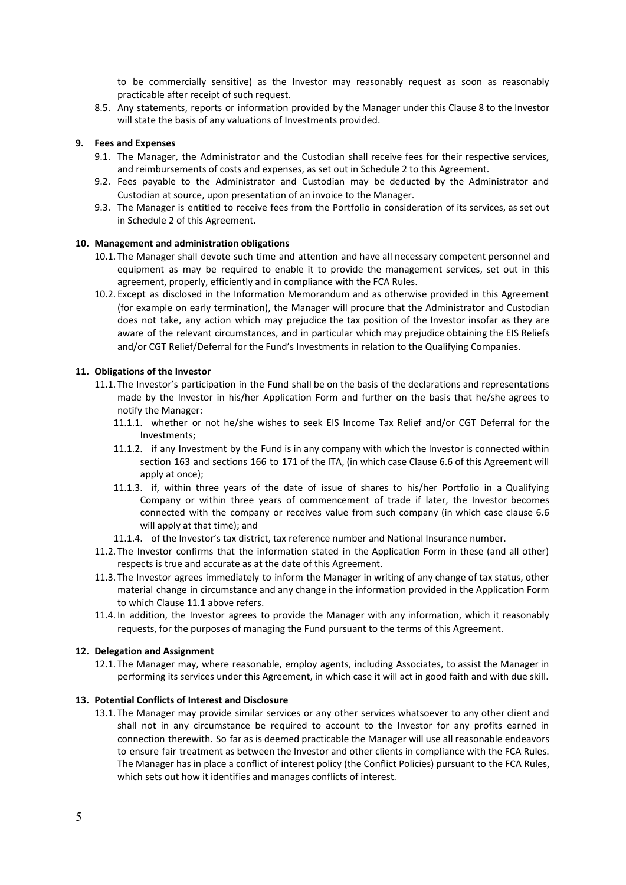to be commercially sensitive) as the Investor may reasonably request as soon as reasonably practicable after receipt of such request.

8.5. Any statements, reports or information provided by the Manager under this Clause 8 to the Investor will state the basis of any valuations of Investments provided.

#### **9. Fees and Expenses**

- <span id="page-4-1"></span>9.1. The Manager, the Administrator and the Custodian shall receive fees for their respective services, and reimbursements of costs and expenses, as set out in Schedule [2](#page-11-0) to this Agreement.
- 9.2. Fees payable to the Administrator and Custodian may be deducted by the Administrator and Custodian at source, upon presentation of an invoice to the Manager.
- 9.3. The Manager is entitled to receive fees from the Portfolio in consideration of its services, as set out in Schedule [2](#page-11-0) of this Agreement.

#### **10. Management and administration obligations**

- 10.1. The Manager shall devote such time and attention and have all necessary competent personnel and equipment as may be required to enable it to provide the management services, set out in this agreement, properly, efficiently and in compliance with the FCA Rules.
- 10.2. Except as disclosed in the Information Memorandum and as otherwise provided in this Agreement (for example on early termination), the Manager will procure that the Administrator and Custodian does not take, any action which may prejudice the tax position of the Investor insofar as they are aware of the relevant circumstances, and in particular which may prejudice obtaining the EIS Reliefs and/or CGT Relief/Deferral for the Fund's Investments in relation to the Qualifying Companies.

#### **11. Obligations of the Investor**

- <span id="page-4-0"></span>11.1. The Investor's participation in the Fund shall be on the basis of the declarations and representations made by the Investor in his/her Application Form and further on the basis that he/she agrees to notify the Manager:
	- 11.1.1. whether or not he/she wishes to seek EIS Income Tax Relief and/or CGT Deferral for the Investments;
	- 11.1.2. if any Investment by the Fund is in any company with which the Investor is connected within section 163 and sections 166 to 171 of the ITA, (in which case Clause 6.6 of this Agreement will apply at once);
	- 11.1.3. if, within three years of the date of issue of shares to his/her Portfolio in a Qualifying Company or within three years of commencement of trade if later, the Investor becomes connected with the company or receives value from such company (in which case clause 6.6 will apply at that time); and
	- 11.1.4. of the Investor's tax district, tax reference number and National Insurance number.
- 11.2. The Investor confirms that the information stated in the Application Form in these (and all other) respects is true and accurate as at the date of this Agreement.
- 11.3. The Investor agrees immediately to inform the Manager in writing of any change of tax status, other material change in circumstance and any change in the information provided in the Application Form to which Clause [11.1](#page-4-0) above refers.
- 11.4. In addition, the Investor agrees to provide the Manager with any information, which it reasonably requests, for the purposes of managing the Fund pursuant to the terms of this Agreement.

#### **12. Delegation and Assignment**

12.1. The Manager may, where reasonable, employ agents, including Associates, to assist the Manager in performing its services under this Agreement, in which case it will act in good faith and with due skill.

#### **13. Potential Conflicts of Interest and Disclosure**

13.1. The Manager may provide similar services or any other services whatsoever to any other client and shall not in any circumstance be required to account to the Investor for any profits earned in connection therewith. So far as is deemed practicable the Manager will use all reasonable endeavors to ensure fair treatment as between the Investor and other clients in compliance with the FCA Rules. The Manager has in place a conflict of interest policy (the Conflict Policies) pursuant to the FCA Rules, which sets out how it identifies and manages conflicts of interest.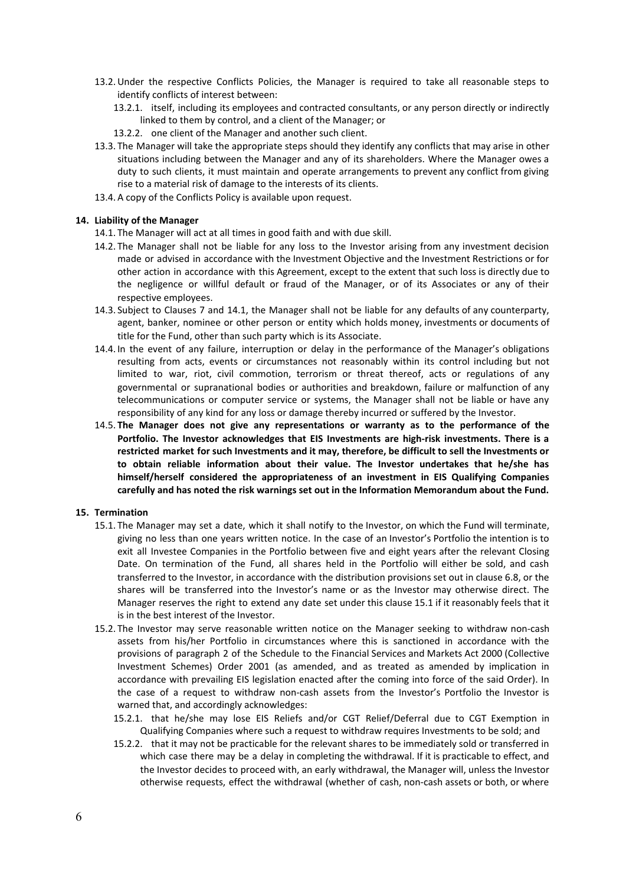- 13.2.Under the respective Conflicts Policies, the Manager is required to take all reasonable steps to identify conflicts of interest between:
	- 13.2.1. itself, including its employees and contracted consultants, or any person directly or indirectly linked to them by control, and a client of the Manager; or
	- 13.2.2. one client of the Manager and another such client.
- 13.3. The Manager will take the appropriate steps should they identify any conflicts that may arise in other situations including between the Manager and any of its shareholders. Where the Manager owes a duty to such clients, it must maintain and operate arrangements to prevent any conflict from giving rise to a material risk of damage to the interests of its clients.
- 13.4. A copy of the Conflicts Policy is available upon request.

#### **14. Liability of the Manager**

- 14.1. The Manager will act at all times in good faith and with due skill.
- 14.2. The Manager shall not be liable for any loss to the Investor arising from any investment decision made or advised in accordance with the Investment Objective and the Investment Restrictions or for other action in accordance with this Agreement, except to the extent that such loss is directly due to the negligence or willful default or fraud of the Manager, or of its Associates or any of their respective employees.
- 14.3. Subject to Clauses 7 and 14.1, the Manager shall not be liable for any defaults of any counterparty, agent, banker, nominee or other person or entity which holds money, investments or documents of title for the Fund, other than such party which is its Associate.
- 14.4. In the event of any failure, interruption or delay in the performance of the Manager's obligations resulting from acts, events or circumstances not reasonably within its control including but not limited to war, riot, civil commotion, terrorism or threat thereof, acts or regulations of any governmental or supranational bodies or authorities and breakdown, failure or malfunction of any telecommunications or computer service or systems, the Manager shall not be liable or have any responsibility of any kind for any loss or damage thereby incurred or suffered by the Investor.
- 14.5. **The Manager does not give any representations or warranty as to the performance of the Portfolio. The Investor acknowledges that EIS Investments are high-risk investments. There is a restricted market for such Investments and it may, therefore, be difficult to sell the Investments or to obtain reliable information about their value. The Investor undertakes that he/she has himself/herself considered the appropriateness of an investment in EIS Qualifying Companies carefully and has noted the risk warnings set out in the Information Memorandum about the Fund.**

#### **15. Termination**

- <span id="page-5-0"></span>15.1. The Manager may set a date, which it shall notify to the Investor, on which the Fund will terminate, giving no less than one years written notice. In the case of an Investor's Portfolio the intention is to exit all Investee Companies in the Portfolio between five and eight years after the relevant Closing Date. On termination of the Fund, all shares held in the Portfolio will either be sold, and cash transferred to the Investor, in accordance with the distribution provisions set out in clause 6.8, or the shares will be transferred into the Investor's name or as the Investor may otherwise direct. The Manager reserves the right to extend any date set under this clause 15.1 if it reasonably feels that it is in the best interest of the Investor.
- 15.2. The Investor may serve reasonable written notice on the Manager seeking to withdraw non-cash assets from his/her Portfolio in circumstances where this is sanctioned in accordance with the provisions of paragraph 2 of the Schedule to the Financial Services and Markets Act 2000 (Collective Investment Schemes) Order 2001 (as amended, and as treated as amended by implication in accordance with prevailing EIS legislation enacted after the coming into force of the said Order). In the case of a request to withdraw non-cash assets from the Investor's Portfolio the Investor is warned that, and accordingly acknowledges:
	- 15.2.1. that he/she may lose EIS Reliefs and/or CGT Relief/Deferral due to CGT Exemption in Qualifying Companies where such a request to withdraw requires Investments to be sold; and
	- 15.2.2. that it may not be practicable for the relevant shares to be immediately sold or transferred in which case there may be a delay in completing the withdrawal. If it is practicable to effect, and the Investor decides to proceed with, an early withdrawal, the Manager will, unless the Investor otherwise requests, effect the withdrawal (whether of cash, non-cash assets or both, or where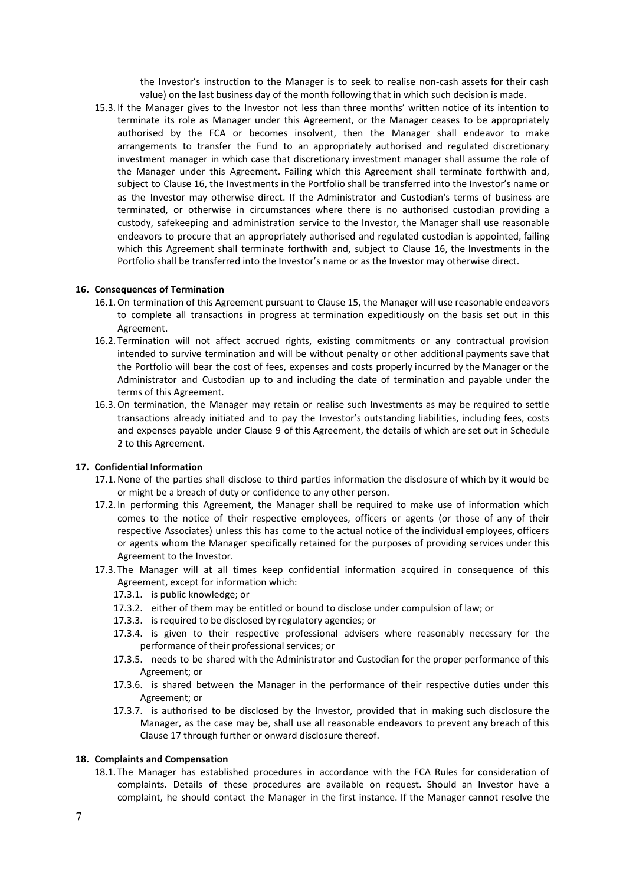the Investor's instruction to the Manager is to seek to realise non-cash assets for their cash value) on the last business day of the month following that in which such decision is made.

15.3. If the Manager gives to the Investor not less than three months' written notice of its intention to terminate its role as Manager under this Agreement, or the Manager ceases to be appropriately authorised by the FCA or becomes insolvent, then the Manager shall endeavor to make arrangements to transfer the Fund to an appropriately authorised and regulated discretionary investment manager in which case that discretionary investment manager shall assume the role of the Manager under this Agreement. Failing which this Agreement shall terminate forthwith and, subject to Clause 16, the Investments in the Portfolio shall be transferred into the Investor's name or as the Investor may otherwise direct. If the Administrator and Custodian's terms of business are terminated, or otherwise in circumstances where there is no authorised custodian providing a custody, safekeeping and administration service to the Investor, the Manager shall use reasonable endeavors to procure that an appropriately authorised and regulated custodian is appointed, failing which this Agreement shall terminate forthwith and, subject to Clause 16, the Investments in the Portfolio shall be transferred into the Investor's name or as the Investor may otherwise direct.

#### **16. Consequences of Termination**

- 16.1.On termination of this Agreement pursuant to Clause [15,](#page-5-0) the Manager will use reasonable endeavors to complete all transactions in progress at termination expeditiously on the basis set out in this Agreement.
- 16.2. Termination will not affect accrued rights, existing commitments or any contractual provision intended to survive termination and will be without penalty or other additional payments save that the Portfolio will bear the cost of fees, expenses and costs properly incurred by the Manager or the Administrator and Custodian up to and including the date of termination and payable under the terms of this Agreement.
- 16.3.On termination, the Manager may retain or realise such Investments as may be required to settle transactions already initiated and to pay the Investor's outstanding liabilities, including fees, costs and expenses payable under Clause [9](#page-4-1) of this Agreement, the details of which are set out in Schedule 2 to this Agreement.

#### **17. Confidential Information**

- <span id="page-6-0"></span>17.1.None of the parties shall disclose to third parties information the disclosure of which by it would be or might be a breach of duty or confidence to any other person.
- 17.2. In performing this Agreement, the Manager shall be required to make use of information which comes to the notice of their respective employees, officers or agents (or those of any of their respective Associates) unless this has come to the actual notice of the individual employees, officers or agents whom the Manager specifically retained for the purposes of providing services under this Agreement to the Investor.
- 17.3. The Manager will at all times keep confidential information acquired in consequence of this Agreement, except for information which:
	- 17.3.1. is public knowledge; or
	- 17.3.2. either of them may be entitled or bound to disclose under compulsion of law; or
	- 17.3.3. is required to be disclosed by regulatory agencies; or
	- 17.3.4. is given to their respective professional advisers where reasonably necessary for the performance of their professional services; or
	- 17.3.5. needs to be shared with the Administrator and Custodian for the proper performance of this Agreement; or
	- 17.3.6. is shared between the Manager in the performance of their respective duties under this Agreement; or
	- 17.3.7. is authorised to be disclosed by the Investor, provided that in making such disclosure the Manager, as the case may be, shall use all reasonable endeavors to prevent any breach of this Clause [17](#page-6-0) through further or onward disclosure thereof.

#### **18. Complaints and Compensation**

18.1. The Manager has established procedures in accordance with the FCA Rules for consideration of complaints. Details of these procedures are available on request. Should an Investor have a complaint, he should contact the Manager in the first instance. If the Manager cannot resolve the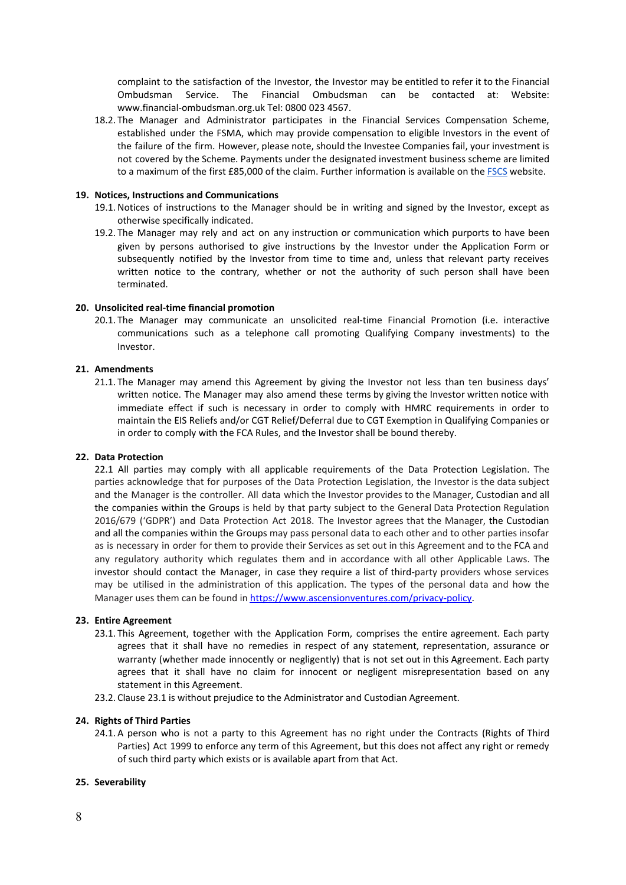complaint to the satisfaction of the Investor, the Investor may be entitled to refer it to the Financial Ombudsman Service. The Financial Ombudsman can be contacted at: Website: www.financial-ombudsman.org.uk Tel: 0800 023 4567.

18.2. The Manager and Administrator participates in the Financial Services Compensation Scheme, established under the FSMA, which may provide compensation to eligible Investors in the event of the failure of the firm. However, please note, should the Investee Companies fail, your investment is not covered by the Scheme. Payments under the designated investment business scheme are limited to a maximum of the first £85,000 of the claim. Further information is available on the [FSCS](https://www.fscs.org.uk/) website.

#### **19. Notices, Instructions and Communications**

- 19.1.Notices of instructions to the Manager should be in writing and signed by the Investor, except as otherwise specifically indicated.
- 19.2. The Manager may rely and act on any instruction or communication which purports to have been given by persons authorised to give instructions by the Investor under the Application Form or subsequently notified by the Investor from time to time and, unless that relevant party receives written notice to the contrary, whether or not the authority of such person shall have been terminated.

#### **20. Unsolicited real-time financial promotion**

20.1. The Manager may communicate an unsolicited real-time Financial Promotion (i.e. interactive communications such as a telephone call promoting Qualifying Company investments) to the Investor.

#### **21. Amendments**

21.1. The Manager may amend this Agreement by giving the Investor not less than ten business days' written notice. The Manager may also amend these terms by giving the Investor written notice with immediate effect if such is necessary in order to comply with HMRC requirements in order to maintain the EIS Reliefs and/or CGT Relief/Deferral due to CGT Exemption in Qualifying Companies or in order to comply with the FCA Rules, and the Investor shall be bound thereby.

#### **22. Data Protection**

22.1 All parties may comply with all applicable requirements of the Data Protection Legislation. The parties acknowledge that for purposes of the Data Protection Legislation, the Investor is the data subject and the Manager is the controller. All data which the Investor provides to the Manager, Custodian and all the companies within the Groups is held by that party subject to the General Data Protection Regulation 2016/679 ('GDPR') and Data Protection Act 2018. The Investor agrees that the Manager, the Custodian and all the companies within the Groups may pass personal data to each other and to other parties insofar as is necessary in order for them to provide their Services as set out in this Agreement and to the FCA and any regulatory authority which regulates them and in accordance with all other Applicable Laws. The investor should contact the Manager, in case they require a list of third-party providers whose services may be utilised in the administration of this application. The types of the personal data and how the Manager uses them can be found in [https://www.ascensionventures.com/privacy-policy.](https://www.ascensionventures.com/privacy-policy)

#### **23. Entire Agreement**

- <span id="page-7-0"></span>23.1. This Agreement, together with the Application Form, comprises the entire agreement. Each party agrees that it shall have no remedies in respect of any statement, representation, assurance or warranty (whether made innocently or negligently) that is not set out in this Agreement. Each party agrees that it shall have no claim for innocent or negligent misrepresentation based on any statement in this Agreement.
- 23.2. Clause [23.1](#page-7-0) is without prejudice to the Administrator and Custodian Agreement.

#### **24. Rights of Third Parties**

24.1. A person who is not a party to this Agreement has no right under the Contracts (Rights of Third Parties) Act 1999 to enforce any term of this Agreement, but this does not affect any right or remedy of such third party which exists or is available apart from that Act.

#### **25. Severability**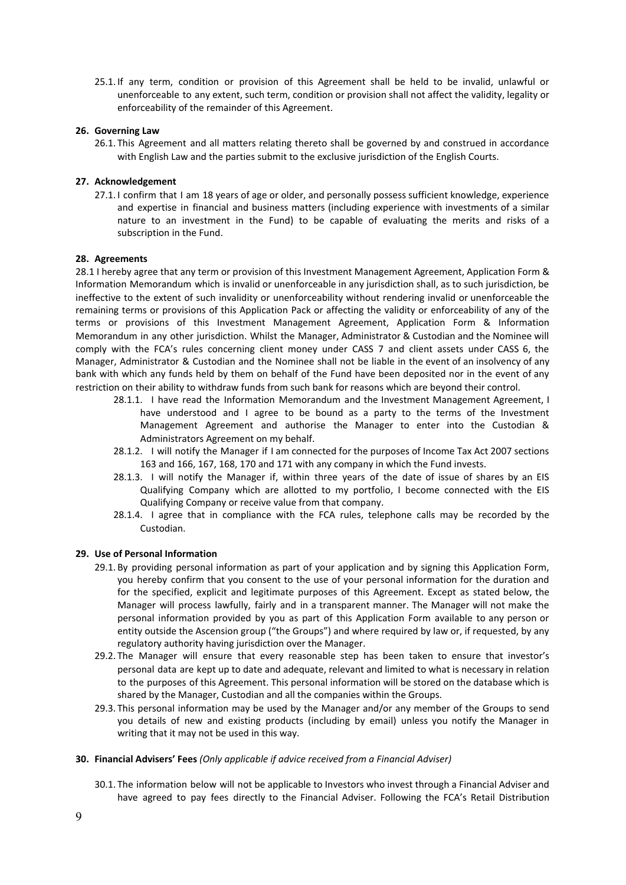25.1. If any term, condition or provision of this Agreement shall be held to be invalid, unlawful or unenforceable to any extent, such term, condition or provision shall not affect the validity, legality or enforceability of the remainder of this Agreement.

#### **26. Governing Law**

26.1. This Agreement and all matters relating thereto shall be governed by and construed in accordance with English Law and the parties submit to the exclusive jurisdiction of the English Courts.

#### **27. Acknowledgement**

27.1. I confirm that I am 18 years of age or older, and personally possess sufficient knowledge, experience and expertise in financial and business matters (including experience with investments of a similar nature to an investment in the Fund) to be capable of evaluating the merits and risks of a subscription in the Fund.

#### **28. Agreements**

28.1 I hereby agree that any term or provision of this Investment Management Agreement, Application Form & Information Memorandum which is invalid or unenforceable in any jurisdiction shall, as to such jurisdiction, be ineffective to the extent of such invalidity or unenforceability without rendering invalid or unenforceable the remaining terms or provisions of this Application Pack or affecting the validity or enforceability of any of the terms or provisions of this Investment Management Agreement, Application Form & Information Memorandum in any other jurisdiction. Whilst the Manager, Administrator & Custodian and the Nominee will comply with the FCA's rules concerning client money under CASS 7 and client assets under CASS 6, the Manager, Administrator & Custodian and the Nominee shall not be liable in the event of an insolvency of any bank with which any funds held by them on behalf of the Fund have been deposited nor in the event of any restriction on their ability to withdraw funds from such bank for reasons which are beyond their control.

- 28.1.1. I have read the Information Memorandum and the Investment Management Agreement, I have understood and I agree to be bound as a party to the terms of the Investment Management Agreement and authorise the Manager to enter into the Custodian & Administrators Agreement on my behalf.
- 28.1.2. I will notify the Manager if I am connected for the purposes of Income Tax Act 2007 sections 163 and 166, 167, 168, 170 and 171 with any company in which the Fund invests.
- 28.1.3. I will notify the Manager if, within three years of the date of issue of shares by an EIS Qualifying Company which are allotted to my portfolio, I become connected with the EIS Qualifying Company or receive value from that company.
- 28.1.4. I agree that in compliance with the FCA rules, telephone calls may be recorded by the Custodian.

#### **29. Use of Personal Information**

- 29.1. By providing personal information as part of your application and by signing this Application Form, you hereby confirm that you consent to the use of your personal information for the duration and for the specified, explicit and legitimate purposes of this Agreement. Except as stated below, the Manager will process lawfully, fairly and in a transparent manner. The Manager will not make the personal information provided by you as part of this Application Form available to any person or entity outside the Ascension group ("the Groups") and where required by law or, if requested, by any regulatory authority having jurisdiction over the Manager.
- 29.2. The Manager will ensure that every reasonable step has been taken to ensure that investor's personal data are kept up to date and adequate, relevant and limited to what is necessary in relation to the purposes of this Agreement. This personal information will be stored on the database which is shared by the Manager, Custodian and all the companies within the Groups.
- 29.3. This personal information may be used by the Manager and/or any member of the Groups to send you details of new and existing products (including by email) unless you notify the Manager in writing that it may not be used in this way.

#### **30. Financial Advisers' Fees** *(Only applicable if advice received from a Financial Adviser)*

30.1. The information below will not be applicable to Investors who invest through a Financial Adviser and have agreed to pay fees directly to the Financial Adviser. Following the FCA's Retail Distribution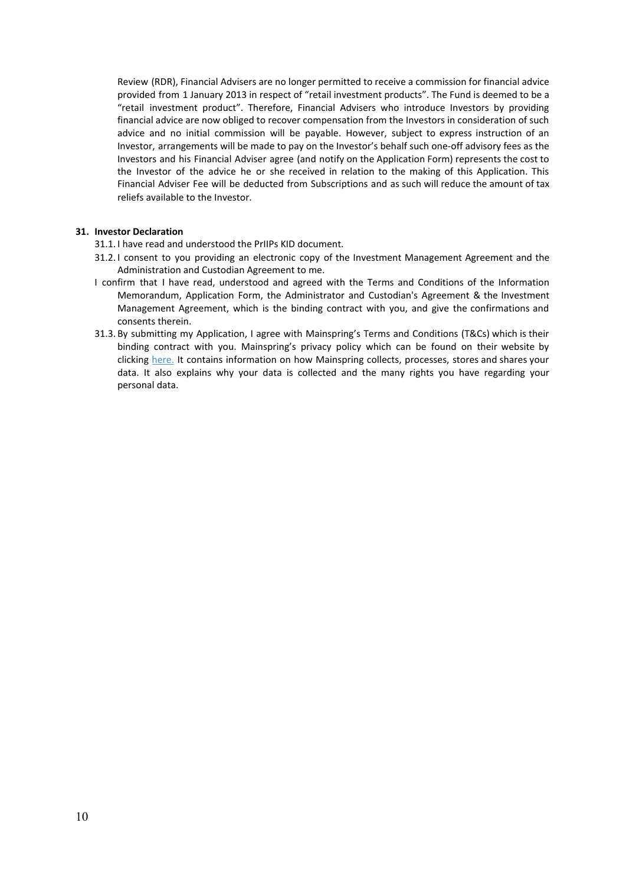Review (RDR), Financial Advisers are no longer permitted to receive a commission for financial advice provided from 1 January 2013 in respect of "retail investment products". The Fund is deemed to be a "retail investment product". Therefore, Financial Advisers who introduce Investors by providing financial advice are now obliged to recover compensation from the Investors in consideration of such advice and no initial commission will be payable. However, subject to express instruction of an Investor, arrangements will be made to pay on the Investor's behalf such one-off advisory fees as the Investors and his Financial Adviser agree (and notify on the Application Form) represents the cost to the Investor of the advice he or she received in relation to the making of this Application. This Financial Adviser Fee will be deducted from Subscriptions and as such will reduce the amount of tax reliefs available to the Investor.

# **31. Investor Declaration**

- 31.1. I have read and understood the PrIIPs KID document.
- 31.2. I consent to you providing an electronic copy of the Investment Management Agreement and the Administration and Custodian Agreement to me.
- I confirm that I have read, understood and agreed with the Terms and Conditions of the Information Memorandum, Application Form, the Administrator and Custodian's Agreement & the Investment Management Agreement, which is the binding contract with you, and give the confirmations and consents therein.
- 31.3. By submitting my Application, I agree with Mainspring's Terms and Conditions (T&Cs) which is their binding contract with you. Mainspring's privacy policy which can be found on their website by clicking [here.](https://www.mainspringfs.com/privacy-statement/) It contains information on how Mainspring collects, processes, stores and shares your data. It also explains why your data is collected and the many rights you have regarding your personal data.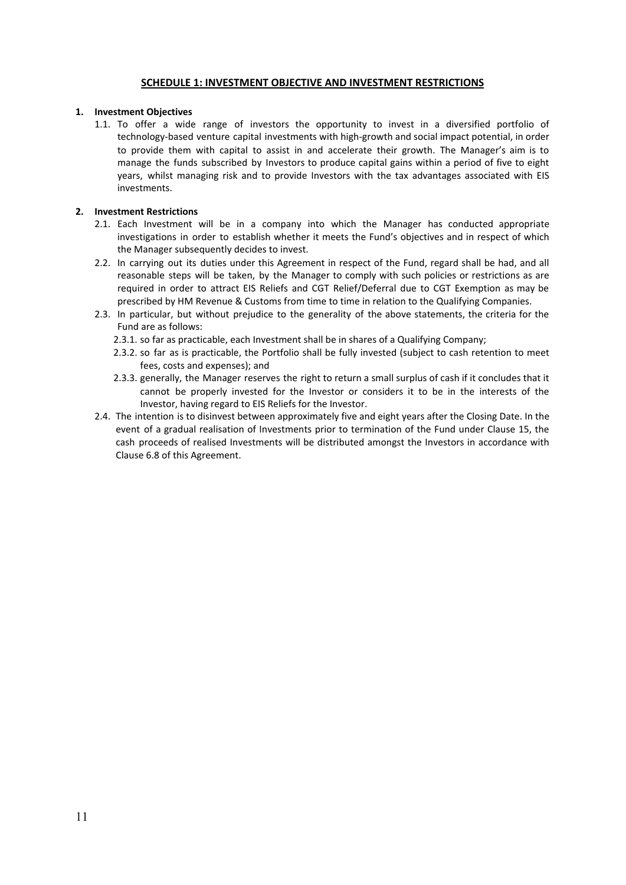# **SCHEDULE 1: INVESTMENT OBJECTIVE AND INVESTMENT RESTRICTIONS**

# **1. Investment Objectives**

1.1. To offer a wide range of investors the opportunity to invest in a diversified portfolio of technology-based venture capital investments with high-growth and social impact potential, in order to provide them with capital to assist in and accelerate their growth. The Manager's aim is to manage the funds subscribed by Investors to produce capital gains within a period of five to eight years, whilst managing risk and to provide Investors with the tax advantages associated with EIS investments.

# **2. Investment Restrictions**

- 2.1. Each Investment will be in a company into which the Manager has conducted appropriate investigations in order to establish whether it meets the Fund's objectives and in respect of which the Manager subsequently decides to invest.
- 2.2. In carrying out its duties under this Agreement in respect of the Fund, regard shall be had, and all reasonable steps will be taken, by the Manager to comply with such policies or restrictions as are required in order to attract EIS Reliefs and CGT Relief/Deferral due to CGT Exemption as may be prescribed by HM Revenue & Customs from time to time in relation to the Qualifying Companies.
- 2.3. In particular, but without prejudice to the generality of the above statements, the criteria for the Fund are as follows:
	- 2.3.1. so far as practicable, each Investment shall be in shares of a Qualifying Company;
	- 2.3.2. so far as is practicable, the Portfolio shall be fully invested (subject to cash retention to meet fees, costs and expenses); and
	- 2.3.3. generally, the Manager reserves the right to return a small surplus of cash if it concludes that it cannot be properly invested for the Investor or considers it to be in the interests of the Investor, having regard to EIS Reliefs for the Investor.
- 2.4. The intention is to disinvest between approximately five and eight years after the Closing Date. In the event of a gradual realisation of Investments prior to termination of the Fund under Clause 15, the cash proceeds of realised Investments will be distributed amongst the Investors in accordance with Clause 6.8 of this Agreement.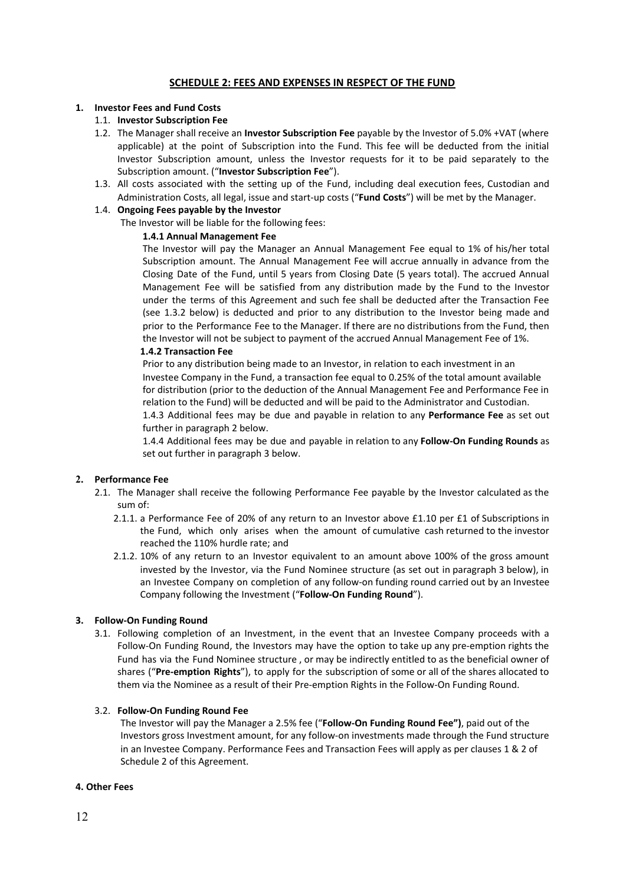# <span id="page-11-0"></span>**SCHEDULE 2: FEES AND EXPENSES IN RESPECT OF THE FUND**

#### **1. Investor Fees and Fund Costs**

# 1.1. **Investor Subscription Fee**

- 1.2. The Manager shall receive an **Investor Subscription Fee** payable by the Investor of 5.0% +VAT (where applicable) at the point of Subscription into the Fund. This fee will be deducted from the initial Investor Subscription amount, unless the Investor requests for it to be paid separately to the Subscription amount. ("**Investor Subscription Fee**").
- 1.3. All costs associated with the setting up of the Fund, including deal execution fees, Custodian and Administration Costs, all legal, issue and start-up costs ("**Fund Costs**") will be met by the Manager.

#### 1.4. **Ongoing Fees payable by the Investor**

The Investor will be liable for the following fees:

#### **1.4.1 Annual Management Fee**

The Investor will pay the Manager an Annual Management Fee equal to 1% of his/her total Subscription amount. The Annual Management Fee will accrue annually in advance from the Closing Date of the Fund, until 5 years from Closing Date (5 years total). The accrued Annual Management Fee will be satisfied from any distribution made by the Fund to the Investor under the terms of this Agreement and such fee shall be deducted after the Transaction Fee (see 1.3.2 below) is deducted and prior to any distribution to the Investor being made and prior to the Performance Fee to the Manager. If there are no distributions from the Fund, then the Investor will not be subject to payment of the accrued Annual Management Fee of 1%.

#### **1.4.2 Transaction Fee**

Prior to any distribution being made to an Investor, in relation to each investment in an Investee Company in the Fund, a transaction fee equal to 0.25% of the total amount available for distribution (prior to the deduction of the Annual Management Fee and Performance Fee in relation to the Fund) will be deducted and will be paid to the Administrator and Custodian. 1.4.3 Additional fees may be due and payable in relation to any **Performance Fee** as set out further in paragraph 2 below.

1.4.4 Additional fees may be due and payable in relation to any **Follow-On Funding Rounds** as set out further in paragraph 3 below.

# **2. Performance Fee**

- 2.1. The Manager shall receive the following Performance Fee payable by the Investor calculated as the sum of:
	- 2.1.1. a Performance Fee of 20% of any return to an Investor above £1.10 per £1 of Subscriptions in the Fund, which only arises when the amount of cumulative cash returned to the investor reached the 110% hurdle rate; and
	- 2.1.2. 10% of any return to an Investor equivalent to an amount above 100% of the gross amount invested by the Investor, via the Fund Nominee structure (as set out in paragraph 3 below), in an Investee Company on completion of any follow-on funding round carried out by an Investee Company following the Investment ("**Follow-On Funding Round**").

# **3. Follow-On Funding Round**

3.1. Following completion of an Investment, in the event that an Investee Company proceeds with a Follow-On Funding Round, the Investors may have the option to take up any pre-emption rights the Fund has via the Fund Nominee structure , or may be indirectly entitled to as the beneficial owner of shares ("**Pre-emption Rights**"), to apply for the subscription of some or all of the shares allocated to them via the Nominee as a result of their Pre-emption Rights in the Follow-On Funding Round.

# 3.2. **Follow-On Funding Round Fee**

The Investor will pay the Manager a 2.5% fee ("**Follow-On Funding Round Fee")**, paid out of the Investors gross Investment amount, for any follow-on investments made through the Fund structure in an Investee Company. Performance Fees and Transaction Fees will apply as per clauses 1 & 2 of Schedule 2 of this Agreement.

#### **4. Other Fees**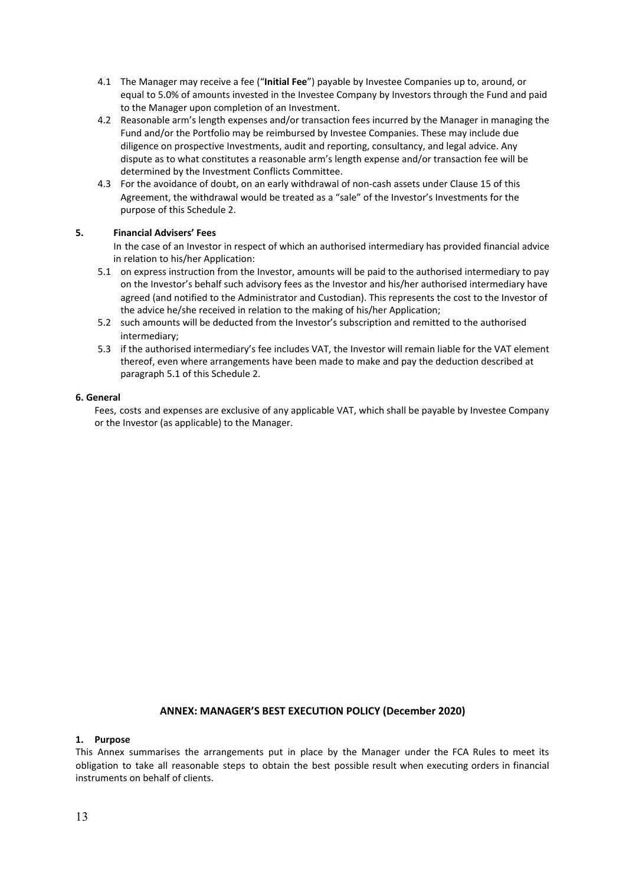- 4.1 The Manager may receive a fee ("**Initial Fee**") payable by Investee Companies up to, around, or equal to 5.0% of amounts invested in the Investee Company by Investors through the Fund and paid to the Manager upon completion of an Investment.
- 4.2 Reasonable arm's length expenses and/or transaction fees incurred by the Manager in managing the Fund and/or the Portfolio may be reimbursed by Investee Companies. These may include due diligence on prospective Investments, audit and reporting, consultancy, and legal advice. Any dispute as to what constitutes a reasonable arm's length expense and/or transaction fee will be determined by the Investment Conflicts Committee.
- 4.3 For the avoidance of doubt, on an early withdrawal of non-cash assets under Clause 15 of this Agreement, the withdrawal would be treated as a "sale" of the Investor's Investments for the purpose of this Schedule 2.

# **5. Financial Advisers' Fees**

In the case of an Investor in respect of which an authorised intermediary has provided financial advice in relation to his/her Application:

- 5.1 on express instruction from the Investor, amounts will be paid to the authorised intermediary to pay on the Investor's behalf such advisory fees as the Investor and his/her authorised intermediary have agreed (and notified to the Administrator and Custodian). This represents the cost to the Investor of the advice he/she received in relation to the making of his/her Application;
- 5.2 such amounts will be deducted from the Investor's subscription and remitted to the authorised intermediary;
- 5.3 if the authorised intermediary's fee includes VAT, the Investor will remain liable for the VAT element thereof, even where arrangements have been made to make and pay the deduction described at paragraph 5.1 of this Schedule 2.

# **6. General**

Fees, costs and expenses are exclusive of any applicable VAT, which shall be payable by Investee Company or the Investor (as applicable) to the Manager.

# **ANNEX: MANAGER'S BEST EXECUTION POLICY (December 2020)**

# **1. Purpose**

This Annex summarises the arrangements put in place by the Manager under the FCA Rules to meet its obligation to take all reasonable steps to obtain the best possible result when executing orders in financial instruments on behalf of clients.